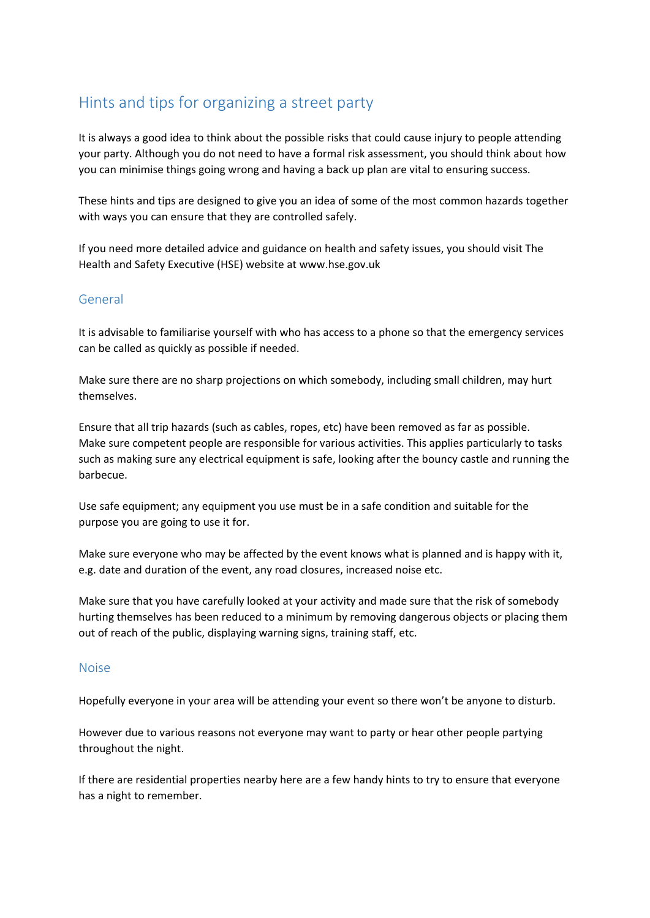# Hints and tips for organizing a street party

It is always a good idea to think about the possible risks that could cause injury to people attending your party. Although you do not need to have a formal risk assessment, you should think about how you can minimise things going wrong and having a back up plan are vital to ensuring success.

These hints and tips are designed to give you an idea of some of the most common hazards together with ways you can ensure that they are controlled safely.

If you need more detailed advice and guidance on health and safety issues, you should visit The Health and Safety Executive (HSE) website at www.hse.gov.uk

## General

It is advisable to familiarise yourself with who has access to a phone so that the emergency services can be called as quickly as possible if needed.

Make sure there are no sharp projections on which somebody, including small children, may hurt themselves.

Ensure that all trip hazards (such as cables, ropes, etc) have been removed as far as possible. Make sure competent people are responsible for various activities. This applies particularly to tasks such as making sure any electrical equipment is safe, looking after the bouncy castle and running the barbecue.

Use safe equipment; any equipment you use must be in a safe condition and suitable for the purpose you are going to use it for.

Make sure everyone who may be affected by the event knows what is planned and is happy with it, e.g. date and duration of the event, any road closures, increased noise etc.

Make sure that you have carefully looked at your activity and made sure that the risk of somebody hurting themselves has been reduced to a minimum by removing dangerous objects or placing them out of reach of the public, displaying warning signs, training staff, etc.

#### Noise

Hopefully everyone in your area will be attending your event so there won't be anyone to disturb.

However due to various reasons not everyone may want to party or hear other people partying throughout the night.

If there are residential properties nearby here are a few handy hints to try to ensure that everyone has a night to remember.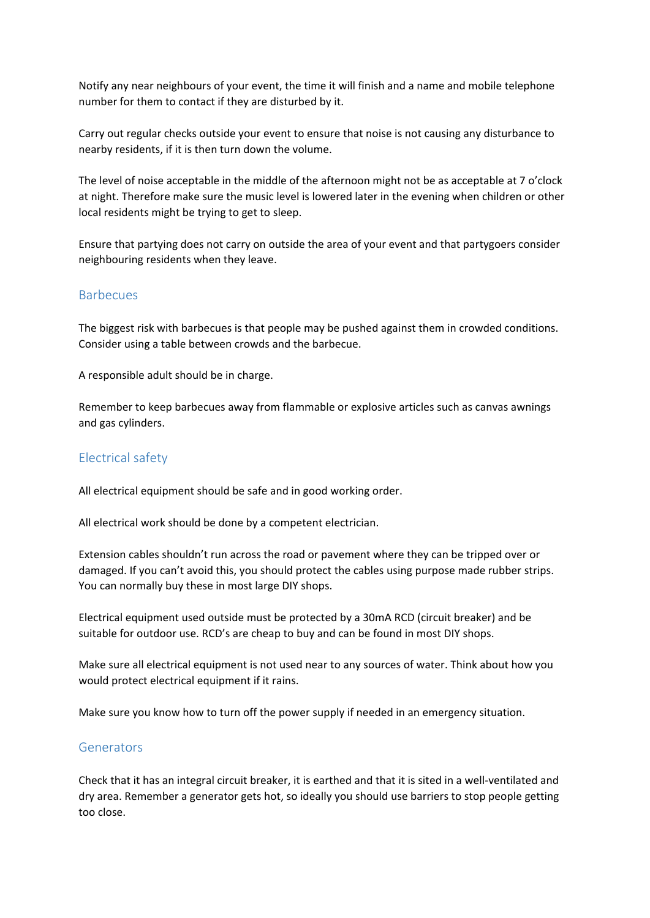Notify any near neighbours of your event, the time it will finish and a name and mobile telephone number for them to contact if they are disturbed by it.

Carry out regular checks outside your event to ensure that noise is not causing any disturbance to nearby residents, if it is then turn down the volume.

The level of noise acceptable in the middle of the afternoon might not be as acceptable at 7 o'clock at night. Therefore make sure the music level is lowered later in the evening when children or other local residents might be trying to get to sleep.

Ensure that partying does not carry on outside the area of your event and that partygoers consider neighbouring residents when they leave.

## **Barbecues**

The biggest risk with barbecues is that people may be pushed against them in crowded conditions. Consider using a table between crowds and the barbecue.

A responsible adult should be in charge.

Remember to keep barbecues away from flammable or explosive articles such as canvas awnings and gas cylinders.

## Electrical safety

All electrical equipment should be safe and in good working order.

All electrical work should be done by a competent electrician.

Extension cables shouldn't run across the road or pavement where they can be tripped over or damaged. If you can't avoid this, you should protect the cables using purpose made rubber strips. You can normally buy these in most large DIY shops.

Electrical equipment used outside must be protected by a 30mA RCD (circuit breaker) and be suitable for outdoor use. RCD's are cheap to buy and can be found in most DIY shops.

Make sure all electrical equipment is not used near to any sources of water. Think about how you would protect electrical equipment if it rains.

Make sure you know how to turn off the power supply if needed in an emergency situation.

#### Generators

Check that it has an integral circuit breaker, it is earthed and that it is sited in a well-ventilated and dry area. Remember a generator gets hot, so ideally you should use barriers to stop people getting too close.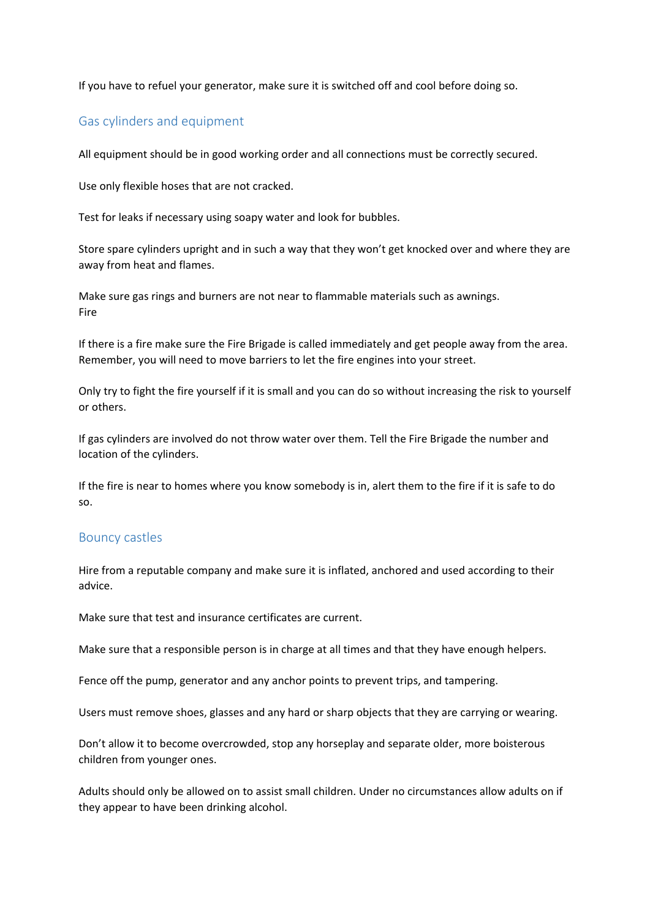If you have to refuel your generator, make sure it is switched off and cool before doing so.

### Gas cylinders and equipment

All equipment should be in good working order and all connections must be correctly secured.

Use only flexible hoses that are not cracked.

Test for leaks if necessary using soapy water and look for bubbles.

Store spare cylinders upright and in such a way that they won't get knocked over and where they are away from heat and flames.

Make sure gas rings and burners are not near to flammable materials such as awnings. Fire

If there is a fire make sure the Fire Brigade is called immediately and get people away from the area. Remember, you will need to move barriers to let the fire engines into your street.

Only try to fight the fire yourself if it is small and you can do so without increasing the risk to yourself or others.

If gas cylinders are involved do not throw water over them. Tell the Fire Brigade the number and location of the cylinders.

If the fire is near to homes where you know somebody is in, alert them to the fire if it is safe to do so.

#### Bouncy castles

Hire from a reputable company and make sure it is inflated, anchored and used according to their advice.

Make sure that test and insurance certificates are current.

Make sure that a responsible person is in charge at all times and that they have enough helpers.

Fence off the pump, generator and any anchor points to prevent trips, and tampering.

Users must remove shoes, glasses and any hard or sharp objects that they are carrying or wearing.

Don't allow it to become overcrowded, stop any horseplay and separate older, more boisterous children from younger ones.

Adults should only be allowed on to assist small children. Under no circumstances allow adults on if they appear to have been drinking alcohol.